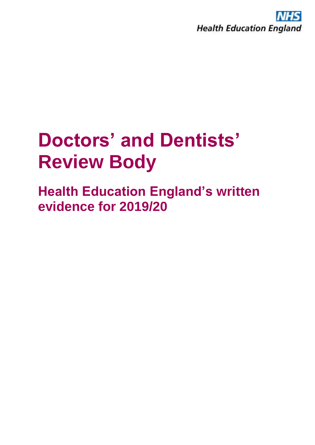

## **Doctors' and Dentists' Review Body**

**Health Education England's written evidence for 2019/20**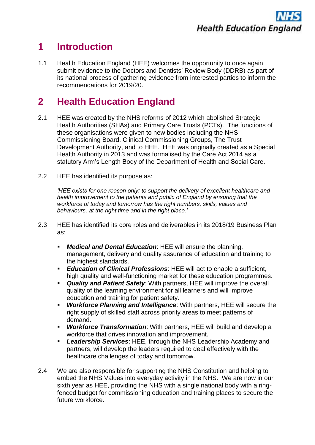## **1 Introduction**

1.1 Health Education England (HEE) welcomes the opportunity to once again submit evidence to the Doctors and Dentists' Review Body (DDRB) as part of its national process of gathering evidence from interested parties to inform the recommendations for 2019/20.

## **2 Health Education England**

- 2.1 HEE was created by the NHS reforms of 2012 which abolished Strategic Health Authorities (SHAs) and Primary Care Trusts (PCTs). The functions of these organisations were given to new bodies including the NHS Commissioning Board, Clinical Commissioning Groups, The Trust Development Authority, and to HEE. HEE was originally created as a Special Health Authority in 2013 and was formalised by the Care Act 2014 as a statutory Arm's Length Body of the Department of Health and Social Care.
- 2.2 HEE has identified its purpose as:

*'HEE exists for one reason only: to support the delivery of excellent healthcare and health improvement to the patients and public of England by ensuring that the workforce of today and tomorrow has the right numbers, skills, values and behaviours, at the right time and in the right place.'*

- 2.3 HEE has identified its core roles and deliverables in its 2018/19 Business Plan as:
	- *Medical and Dental Education*: HEE will ensure the planning, management, delivery and quality assurance of education and training to the highest standards.
	- *Education of Clinical Professions: HEE will act to enable a sufficient,* high quality and well-functioning market for these education programmes.
	- *Quality and Patient Safety*: With partners, HEE will improve the overall quality of the learning environment for all learners and will improve education and training for patient safety.
	- *Workforce Planning and Intelligence*: With partners, HEE will secure the right supply of skilled staff across priority areas to meet patterns of demand.
	- *Workforce Transformation*: With partners, HEE will build and develop a workforce that drives innovation and improvement.
	- **Leadership Services:** HEE, through the NHS Leadership Academy and partners, will develop the leaders required to deal effectively with the healthcare challenges of today and tomorrow.
- 2.4 We are also responsible for supporting the NHS Constitution and helping to embed the NHS Values into everyday activity in the NHS. We are now in our sixth year as HEE, providing the NHS with a single national body with a ringfenced budget for commissioning education and training places to secure the future workforce.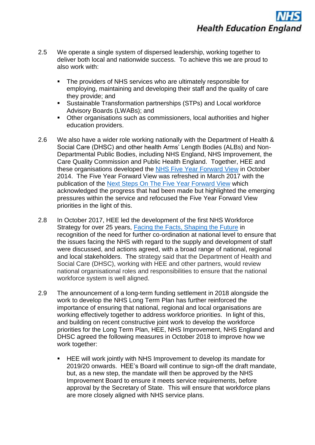- 2.5 We operate a single system of dispersed leadership, working together to deliver both local and nationwide success. To achieve this we are proud to also work with:
	- The providers of NHS services who are ultimately responsible for employing, maintaining and developing their staff and the quality of care they provide; and
	- Sustainable Transformation partnerships (STPs) and Local workforce Advisory Boards (LWABs); and
	- Other organisations such as commissioners, local authorities and higher education providers.
- 2.6 We also have a wider role working nationally with the Department of Health & Social Care (DHSC) and other health Arms' Length Bodies (ALBs) and Non-Departmental Public Bodies, including NHS England, NHS Improvement, the Care Quality Commission and Public Health England. Together, HEE and these organisations developed the [NHS Five Year Forward View](https://www.england.nhs.uk/wp-content/uploads/2014/10/5yfv-web.pdf) in October 2014. The Five Year Forward View was refreshed in March 2017 with the publication of the [Next Steps On The Five Year Forward View](https://www.england.nhs.uk/wp-content/uploads/2017/03/NEXT-STEPS-ON-THE-NHS-FIVE-YEAR-FORWARD-VIEW.pdf) which acknowledged the progress that had been made but highlighted the emerging pressures within the service and refocused the Five Year Forward View priorities in the light of this.
- 2.8 In October 2017, HEE led the development of the first NHS Workforce Strategy for over 25 years, [Facing the Facts, Shaping the Future](https://www.hee.nhs.uk/sites/default/files/documents/Facing%20the%20Facts%2C%20Shaping%20the%20Future%20%E2%80%93%20a%20draft%20health%20and%20care%20workforce%20strategy%20for%20England%20to%202027.pdf) in recognition of the need for further co-ordination at national level to ensure that the issues facing the NHS with regard to the supply and development of staff were discussed, and actions agreed, with a broad range of national, regional and local stakeholders. The strategy said that the Department of Health and Social Care (DHSC), working with HEE and other partners, would review national organisational roles and responsibilities to ensure that the national workforce system is well aligned.
- 2.9 The announcement of a long-term funding settlement in 2018 alongside the work to develop the NHS Long Term Plan has further reinforced the importance of ensuring that national, regional and local organisations are working effectively together to address workforce priorities. In light of this, and building on recent constructive joint work to develop the workforce priorities for the Long Term Plan, HEE, NHS Improvement, NHS England and DHSC agreed the following measures in October 2018 to improve how we work together:
	- HEE will work jointly with NHS Improvement to develop its mandate for 2019/20 onwards. HEE's Board will continue to sign-off the draft mandate, but, as a new step, the mandate will then be approved by the NHS Improvement Board to ensure it meets service requirements, before approval by the Secretary of State. This will ensure that workforce plans are more closely aligned with NHS service plans.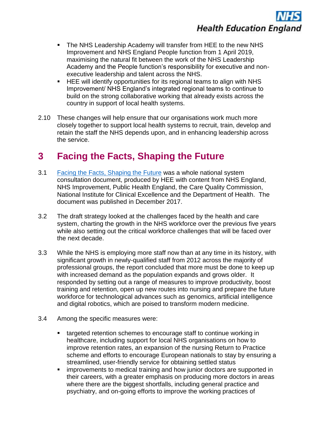- The NHS Leadership Academy will transfer from HEE to the new NHS Improvement and NHS England People function from 1 April 2019, maximising the natural fit between the work of the NHS Leadership Academy and the People function's responsibility for executive and nonexecutive leadership and talent across the NHS.
- HEE will identify opportunities for its regional teams to align with NHS Improvement/ NHS England's integrated regional teams to continue to build on the strong collaborative working that already exists across the country in support of local health systems.
- 2.10 These changes will help ensure that our organisations work much more closely together to support local health systems to recruit, train, develop and retain the staff the NHS depends upon, and in enhancing leadership across the service.

## **3 Facing the Facts, Shaping the Future**

- 3.1 [Facing the Facts, Shaping the Future](https://www.hee.nhs.uk/sites/default/files/documents/Facing%20the%20Facts%2C%20Shaping%20the%20Future%20%E2%80%93%20a%20draft%20health%20and%20care%20workforce%20strategy%20for%20England%20to%202027.pdf) was a whole national system consultation document, produced by HEE with content from NHS England, NHS Improvement, Public Health England, the Care Quality Commission, National Institute for Clinical Excellence and the Department of Health. The document was published in December 2017.
- 3.2 The draft strategy looked at the challenges faced by the health and care system, charting the growth in the NHS workforce over the previous five years while also setting out the critical workforce challenges that will be faced over the next decade.
- 3.3 While the NHS is employing more staff now than at any time in its history, with significant growth in newly-qualified staff from 2012 across the majority of professional groups, the report concluded that more must be done to keep up with increased demand as the population expands and grows older. It responded by setting out a range of measures to improve productivity, boost training and retention, open up new routes into nursing and prepare the future workforce for technological advances such as genomics, artificial intelligence and digital robotics, which are poised to transform modern medicine.
- 3.4 Among the specific measures were:
	- targeted retention schemes to encourage staff to continue working in healthcare, including support for local NHS organisations on how to improve retention rates, an expansion of the nursing Return to Practice scheme and efforts to encourage European nationals to stay by ensuring a streamlined, user-friendly service for obtaining settled status
	- improvements to medical training and how junior doctors are supported in their careers, with a greater emphasis on producing more doctors in areas where there are the biggest shortfalls, including general practice and psychiatry, and on-going efforts to improve the working practices of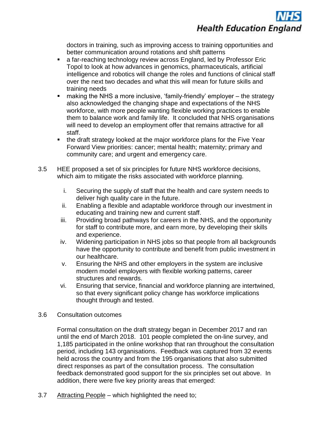

doctors in training, such as improving access to training opportunities and better communication around rotations and shift patterns

- a far-reaching technology review across England, led by Professor Eric Topol to look at how advances in genomics, pharmaceuticals, artificial intelligence and robotics will change the roles and functions of clinical staff over the next two decades and what this will mean for future skills and training needs
- making the NHS a more inclusive, 'family-friendly' employer  $-$  the strategy also acknowledged the changing shape and expectations of the NHS workforce, with more people wanting flexible working practices to enable them to balance work and family life. It concluded that NHS organisations will need to develop an employment offer that remains attractive for all staff.
- the draft strategy looked at the major workforce plans for the Five Year Forward View priorities: cancer; mental health; maternity; primary and community care; and urgent and emergency care.
- 3.5 HEE proposed a set of six principles for future NHS workforce decisions, which aim to mitigate the risks associated with workforce planning.
	- i. Securing the supply of staff that the health and care system needs to deliver high quality care in the future.
	- ii. Enabling a flexible and adaptable workforce through our investment in educating and training new and current staff.
	- iii. Providing broad pathways for careers in the NHS, and the opportunity for staff to contribute more, and earn more, by developing their skills and experience.
	- iv. Widening participation in NHS jobs so that people from all backgrounds have the opportunity to contribute and benefit from public investment in our healthcare.
	- v. Ensuring the NHS and other employers in the system are inclusive modern model employers with flexible working patterns, career structures and rewards.
	- vi. Ensuring that service, financial and workforce planning are intertwined, so that every significant policy change has workforce implications thought through and tested.
- 3.6 Consultation outcomes

Formal consultation on the draft strategy began in December 2017 and ran until the end of March 2018. 101 people completed the on-line survey, and 1,185 participated in the online workshop that ran throughout the consultation period, including 143 organisations. Feedback was captured from 32 events held across the country and from the 195 organisations that also submitted direct responses as part of the consultation process. The consultation feedback demonstrated good support for the six principles set out above. In addition, there were five key priority areas that emerged:

3.7 Attracting People – which highlighted the need to;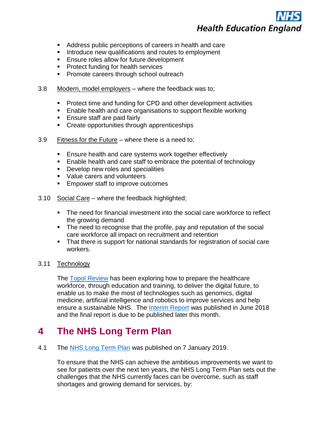- Address public perceptions of careers in health and care
- Introduce new qualifications and routes to employment
- Ensure roles allow for future development
- Protect funding for health services
- Promote careers through school outreach
- 3.8 Modern, model employers where the feedback was to;
	- Protect time and funding for CPD and other development activities
	- Enable health and care organisations to support flexible working
	- Ensure staff are paid fairly
	- Create opportunities through apprenticeships
- 3.9 Fitness for the Future where there is a need to;
	- Ensure health and care systems work together effectively
	- Enable health and care staff to embrace the potential of technology
	- Develop new roles and specialities
	- Value carers and volunteers
	- Empower staff to improve outcomes
- 3.10 Social Care where the feedback highlighted;
	- The need for financial investment into the social care workforce to reflect the growing demand
	- The need to recognise that the profile, pay and reputation of the social care workforce all impact on recruitment and retention
	- That there is support for national standards for registration of social care workers.

#### 3.11 Technology

The [Topol Review](https://www.hee.nhs.uk/our-work/topol-review) has been exploring how to prepare the healthcare workforce, through education and training, to deliver the digital future, to enable us to make the most of technologies such as genomics, digital medicine, artificial intelligence and robotics to improve services and help ensure a sustainable NHS. The [Interim Report](https://www.hee.nhs.uk/sites/default/files/documents/Topol%20Review%20interim%20report_0.pdf) was published in June 2018 and the final report is due to be published later this month.

### **4 The NHS Long Term Plan**

4.1 The [NHS Long Term Plan](https://www.longtermplan.nhs.uk/wp-content/uploads/2019/01/nhs-long-term-plan.pdf) was published on 7 January 2019.

To ensure that the NHS can achieve the ambitious improvements we want to see for patients over the next ten years, the NHS Long Term Plan sets out the challenges that the NHS currently faces can be overcome, such as staff shortages and growing demand for services, by: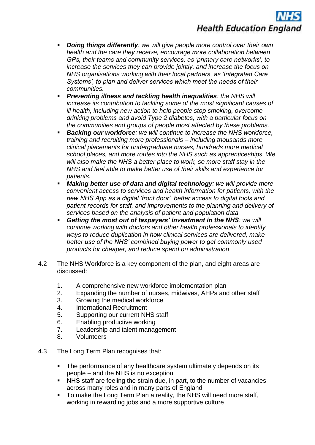- **Doing things differently**: we will give people more control over their own *health and the care they receive, encourage more collaboration between GPs, their teams and community services, as 'primary care networks', to increase the services they can provide jointly, and increase the focus on NHS organisations working with their local partners, as 'Integrated Care Systems', to plan and deliver services which meet the needs of their communities.*
- **Preventing illness and tackling health inequalities: the NHS will** *increase its contribution to tackling some of the most significant causes of ill health, including new action to help people stop smoking, overcome drinking problems and avoid Type 2 diabetes, with a particular focus on the communities and groups of people most affected by these problems.*
- **Backing our workforce**: we will continue to increase the NHS workforce, *training and recruiting more professionals – including thousands more clinical placements for undergraduate nurses, hundreds more medical school places, and more routes into the NHS such as apprenticeships. We will also make the NHS a better place to work, so more staff stay in the NHS and feel able to make better use of their skills and experience for patients.*
- *Making better use of data and digital technology: we will provide more convenient access to services and health information for patients, with the new NHS App as a digital 'front door', better access to digital tools and patient records for staff, and improvements to the planning and delivery of services based on the analysis of patient and population data.*
- **Getting the most out of taxpayers' investment in the NHS: we will** *continue working with doctors and other health professionals to identify ways to reduce duplication in how clinical services are delivered, make better use of the NHS' combined buying power to get commonly used products for cheaper, and reduce spend on administration*
- 4.2 The NHS Workforce is a key component of the plan, and eight areas are discussed:
	- 1. A comprehensive new workforce implementation plan
	- 2. Expanding the number of nurses, midwives, AHPs and other staff
	- 3. Growing the medical workforce
	- 4. International Recruitment
	- 5. Supporting our current NHS staff
	- 6. Enabling productive working
	- 7. Leadership and talent management
	- 8. Volunteers
- 4.3 The Long Term Plan recognises that:
	- The performance of any healthcare system ultimately depends on its people – and the NHS is no exception
	- NHS staff are feeling the strain due, in part, to the number of vacancies across many roles and in many parts of England
	- To make the Long Term Plan a reality, the NHS will need more staff, working in rewarding jobs and a more supportive culture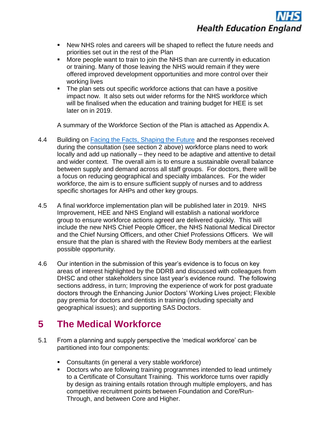

- New NHS roles and careers will be shaped to reflect the future needs and priorities set out in the rest of the Plan
- More people want to train to join the NHS than are currently in education or training. Many of those leaving the NHS would remain if they were offered improved development opportunities and more control over their working lives
- The plan sets out specific workforce actions that can have a positive impact now. It also sets out wider reforms for the NHS workforce which will be finalised when the education and training budget for HEE is set later on in 2019.

A summary of the Workforce Section of the Plan is attached as Appendix A.

- 4.4 Building on [Facing the Facts, Shaping the Future](https://www.hee.nhs.uk/sites/default/files/documents/Facing%20the%20Facts%2C%20Shaping%20the%20Future%20%E2%80%93%20a%20draft%20health%20and%20care%20workforce%20strategy%20for%20England%20to%202027.pdf) and the responses received during the consultation (see section 2 above) workforce plans need to work locally and add up nationally – they need to be adaptive and attentive to detail and wider context. The overall aim is to ensure a sustainable overall balance between supply and demand across all staff groups. For doctors, there will be a focus on reducing geographical and specialty imbalances. For the wider workforce, the aim is to ensure sufficient supply of nurses and to address specific shortages for AHPs and other key groups.
- 4.5 A final workforce implementation plan will be published later in 2019. NHS Improvement, HEE and NHS England will establish a national workforce group to ensure workforce actions agreed are delivered quickly. This will include the new NHS Chief People Officer, the NHS National Medical Director and the Chief Nursing Officers, and other Chief Professions Officers. We will ensure that the plan is shared with the Review Body members at the earliest possible opportunity.
- 4.6 Our intention in the submission of this year's evidence is to focus on key areas of interest highlighted by the DDRB and discussed with colleagues from DHSC and other stakeholders since last year's evidence round. The following sections address, in turn; Improving the experience of work for post graduate doctors through the Enhancing Junior Doctors' Working Lives project; Flexible pay premia for doctors and dentists in training (including specialty and geographical issues); and supporting SAS Doctors.

## **5 The Medical Workforce**

- 5.1 From a planning and supply perspective the 'medical workforce' can be partitioned into four components:
	- Consultants (in general a very stable workforce)
	- Doctors who are following training programmes intended to lead untimely to a Certificate of Consultant Training. This workforce turns over rapidly by design as training entails rotation through multiple employers, and has competitive recruitment points between Foundation and Core/Run-Through, and between Core and Higher.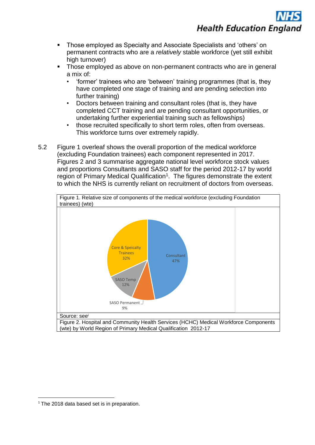- Those employed as Specialty and Associate Specialists and 'others' on permanent contracts who are a *relatively* stable workforce (yet still exhibit high turnover)
- Those employed as above on non-permanent contracts who are in general a mix of:
	- 'former' trainees who are 'between' training programmes (that is, they have completed one stage of training and are pending selection into further training)
	- Doctors between training and consultant roles (that is, they have completed CCT training and are pending consultant opportunities, or undertaking further experiential training such as fellowships)
	- those recruited specifically to short term roles, often from overseas. This workforce turns over extremely rapidly.
- 5.2 Figure 1 overleaf shows the overall proportion of the medical workforce (excluding Foundation trainees) each component represented in 2017. Figures 2 and 3 summarise aggregate national level workforce stock values and proportions Consultants and SASO staff for the period 2012-17 by world region of Primary Medical Qualification<sup>1</sup>. The figures demonstrate the extent to which the NHS is currently reliant on recruitment of doctors from overseas.



1

<sup>&</sup>lt;sup>1</sup> The 2018 data based set is in preparation.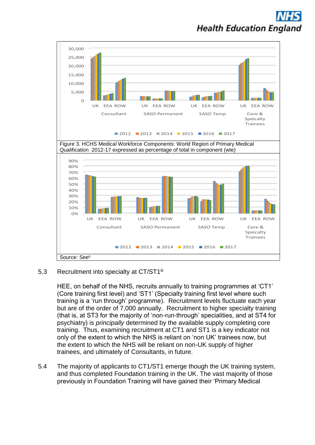

### 5.3 Recruitment into specialty at CT/ST1<sup>iii</sup>

HEE, on behalf of the NHS, recruits annually to training programmes at 'CT1' (Core training first level) and 'ST1' (Specialty training first level where such training is a 'run through' programme). Recruitment levels fluctuate each year but are of the order of 7,000 annually. Recruitment to higher specialty training (that is, at ST3 for the majority of 'non-run-through' specialities, and at ST4 for psychiatry) is *principally* determined by the available supply completing core training. Thus, examining recruitment at CT1 and ST1 is a key indicator not only of the extent to which the NHS is reliant on 'non UK' trainees now, but the extent to which the NHS will be reliant on non-UK supply of higher trainees, and ultimately of Consultants, in future.

5.4 The majority of applicants to CT1/ST1 emerge though the UK training system, and thus completed Foundation training in the UK. The vast majority of those previously in Foundation Training will have gained their 'Primary Medical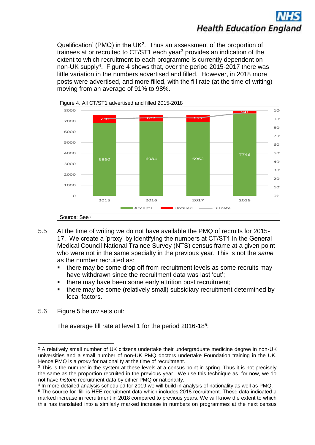Qualification' (PMQ) in the UK<sup>2</sup>. Thus an assessment of the proportion of trainees at or recruited to CT/ST1 each year<sup>3</sup> provides an indication of the extent to which recruitment to each programme is currently dependent on non-UK supply<sup>4</sup>. Figure 4 shows that, over the period 2015-2017 there was little variation in the numbers advertised and filled. However, in 2018 more posts were advertised, and more filled, with the fill rate (at the time of writing) moving from an average of 91% to 98%.



- 5.5 At the time of writing we do not have available the PMQ of recruits for 2015- 17. We create a 'proxy' by identifying the numbers at CT/ST1 in the General Medical Council National Trainee Survey (NTS) census frame at a given point who were not in the same specialty in the previous year. This is not the *same*  as the number recruited as:
	- there may be some drop off from recruitment levels as some recruits may have withdrawn since the recruitment data was last 'cut';
	- there may have been some early attrition post recruitment;
	- there may be some (relatively small) subsidiary recruitment determined by local factors.
- 5.6 Figure 5 below sets out:

The average fill rate at level 1 for the period 2016-18<sup>5</sup>;

<sup>1</sup> <sup>2</sup> A relatively small number of UK citizens undertake their undergraduate medicine degree in non-UK universities and a small number of non-UK PMQ doctors undertake Foundation training in the UK. Hence PMQ is a *proxy* for nationality at the time of recruitment.

<sup>&</sup>lt;sup>3</sup> This is the number in the system at these levels at a census point in spring. Thus it is not precisely the same as the proportion recruited in the previous year. We use this technique as, for now, we do not have *historic* recruitment data by either PMQ or nationality.

<sup>4</sup> In more detailed analysis scheduled for 2019 we will build in analysis of nationality as well as PMQ.

<sup>5</sup> The source for 'fill' is HEE recruitment data which includes 2018 recruitment. These data indicated a marked increase in recruitment in 2018 compared to previous years. We will know the extent to which this has translated into a similarly marked increase in numbers on programmes at the next census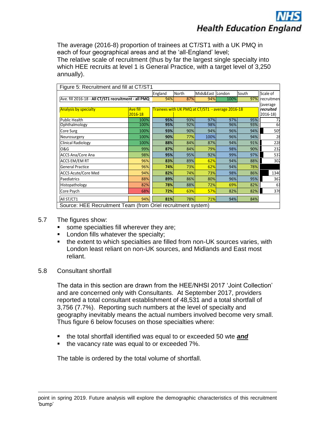The average (2016-8) proportion of trainees at CT/ST1 with a UK PMQ in each of four geographical areas and at the 'all-England' level; The relative scale of recruitment (thus by far the largest single specialty into which HEE recruits at level 1 is General Practice, with a target level of 3,250 annually).

| Figure 5: Recruitment and fill at CT/ST1                     |                            |         |                                                  |                  |      |       |             |  |  |  |  |  |  |
|--------------------------------------------------------------|----------------------------|---------|--------------------------------------------------|------------------|------|-------|-------------|--|--|--|--|--|--|
|                                                              |                            | England | North                                            | Mids&East London |      | South | Scale of    |  |  |  |  |  |  |
| Ave. fill 2016-18 - All CT/ST1 recruitment - all PMQ         |                            | 94%     | 87%                                              | 94%              | 100% | 97%   | Irecruitmen |  |  |  |  |  |  |
| <b>Analysis by specialty</b>                                 | <b>Ave fill</b><br>2016-18 |         | Trainees with UK PMQ at CT/ST1 - average 2016-18 |                  |      |       |             |  |  |  |  |  |  |
| Public Health                                                | 100%                       | 95%     | 93%                                              | 97%              | 97%  | 95%   |             |  |  |  |  |  |  |
| Ophthalmology                                                | 100%                       | 95%     | 92%                                              | 98%              | 96%  | 93%   | 64          |  |  |  |  |  |  |
| Core Surg                                                    | 100%                       | 93%     | 90%                                              | 94%              | 96%  | 94%   | 505         |  |  |  |  |  |  |
| Neurosurgery                                                 | 100%                       | 90%     | 77%                                              | 100%             | 96%  | 94%   | 28          |  |  |  |  |  |  |
| <b>Clinical Radiology</b>                                    | 100%                       | 88%     | 84%                                              | 87%              | 94%  | 91%   | 228         |  |  |  |  |  |  |
| O&G                                                          | 99%                        | 87%     | 84%                                              | 79%              | 98%  | 90%   | 232         |  |  |  |  |  |  |
| <b>ACCS Ana/Core Ana</b>                                     | 98%                        | 95%     | 95%                                              | 92%              | 99%  | 97%   | 537         |  |  |  |  |  |  |
| <b>ACCS EM/EM RT</b>                                         | 96%                        | 83%     | 89%                                              | 62%              | 94%  | 88%   | 302         |  |  |  |  |  |  |
| <b>General Practice</b>                                      | 96%                        | 74%     | 73%                                              | 62%              | 94%  | 78%   |             |  |  |  |  |  |  |
| <b>ACCS Acute/Core Med</b>                                   | 94%                        | 82%     | 74%                                              | 73%              | 98%  | 86%   | 1340        |  |  |  |  |  |  |
| Paediatrics                                                  | 88%                        | 89%     | 86%                                              | 80%              | 96%  | 95%   | 367         |  |  |  |  |  |  |
| Histopathology                                               | 82%                        | 78%     | 88%                                              | 72%              | 69%  | 82%   | 61          |  |  |  |  |  |  |
| Core Psych                                                   | 68%                        | 72%     | 63%                                              | 57%              | 82%  | 82%   | 376         |  |  |  |  |  |  |
| All ST/CT1                                                   | 94%                        | 81%     | 78%                                              | 71%              | 94%  | 84%   |             |  |  |  |  |  |  |
| Source: HFF Recruitment Team (from Oriel recruitment system) |                            |         |                                                  |                  |      |       |             |  |  |  |  |  |  |

Source: HEE Recruitment Team (from Oriel recruitment system)

- 5.7 The figures show:
	- some specialties fill wherever they are;
	- London fills whatever the specialty:
	- the extent to which specialties are filled from non-UK sources varies, with London least reliant on non-UK sources, and Midlands and East most reliant.
- 5.8 Consultant shortfall

The data in this section are drawn from the HEE/NHSI 2017 'Joint Collection' and are concerned only with Consultants. At September 2017, providers reported a total consultant establishment of 48,531 and a total shortfall of 3,756 (7.7%). Reporting such numbers at the level of specialty and geography inevitably means the actual numbers involved become very small. Thus figure 6 below focuses on those specialties where:

- the total shortfall identified was equal to or exceeded 50 wte **and**
- the vacancy rate was equal to or exceeded 7%.

The table is ordered by the total volume of shortfall.

<sup>&</sup>lt;u>.</u> point in spring 2019. Future analysis will explore the demographic characteristics of this recruitment 'bump'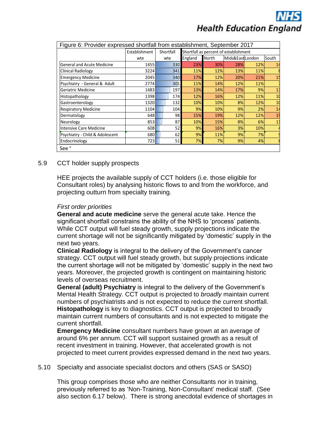

| Figure 6: Provider expressed shortfall from establishment, September 2017 |               |           |         |                                       |                 |     |                |  |  |  |  |  |
|---------------------------------------------------------------------------|---------------|-----------|---------|---------------------------------------|-----------------|-----|----------------|--|--|--|--|--|
|                                                                           | Establishment | Shortfall |         | Shortfall as percent of establishment |                 |     |                |  |  |  |  |  |
|                                                                           | wte           | wte       | England | <b>North</b>                          | Mids&EastLondon |     | South          |  |  |  |  |  |
| <b>General and Acute Medicine</b>                                         | 1455          | 330       | 23%     | 30%                                   | 28%             | 12% |                |  |  |  |  |  |
| Clinical Radiology                                                        | 3224          | 341       | 11%     | 12%                                   | 13%             | 11% |                |  |  |  |  |  |
| <b>Emergency Medicine</b>                                                 | 2045          | 340       | 17%     | 12%                                   | 20%             | 21% |                |  |  |  |  |  |
| Psychiatry - General & Adult                                              | 2774          | 301       | 11%     | 14%                                   | 12%             | 11% |                |  |  |  |  |  |
| Geriatric Medicine                                                        | 1483          | 197       | 13%     | 14%                                   | 17%             | 9%  | 13             |  |  |  |  |  |
| Histopathology                                                            | 1398          | 174       | 12%     | 16%                                   | 12%             | 11% | 1(             |  |  |  |  |  |
| Gastroenterology                                                          | 1320          | 132       | 10%     | 10%                                   | 8%              | 12% | 1(             |  |  |  |  |  |
| <b>Respiratory Medicine</b>                                               | 1104          | 104       | 9%      | 10%                                   | 9%              | 2%  | 14             |  |  |  |  |  |
| Dermatology                                                               | 648           | 98        | 15%     | 19%                                   | 12%             | 12% | 1 <sup>0</sup> |  |  |  |  |  |
| Neurology                                                                 | 853           | 87        | 10%     | 15%                                   | 8%              | 6%  | 1              |  |  |  |  |  |
| Intensive Care Medicine                                                   | 608           | 52        | 9%      | 16%                                   | 3%              | 10% |                |  |  |  |  |  |
| Psychiatry - Child & Adolescent                                           | 680           | 62        | 9%      | 11%                                   | 9%              | 7%  |                |  |  |  |  |  |
| Endocrinology                                                             | 723           | 51        | 7%      | 7%                                    | 9%              | 4%  |                |  |  |  |  |  |
| See <sup>v</sup>                                                          |               |           |         |                                       |                 |     |                |  |  |  |  |  |

#### 5.9 CCT holder supply prospects

HEE projects the available supply of CCT holders (i.e. those eligible for Consultant roles) by analysing historic flows to and from the workforce, and projecting outturn from specialty training.

#### *First order priorities*

**General and acute medicine** serve the general acute take. Hence the significant shortfall constrains the ability of the NHS to 'process' patients. While CCT output will fuel steady growth, supply projections indicate the current shortage will not be significantly mitigated by 'domestic' supply in the next two years.

**Clinical Radiology** is integral to the delivery of the Government's cancer strategy. CCT output will fuel steady growth, but supply projections indicate the current shortage will not be mitigated by 'domestic' supply in the next two years. Moreover, the projected growth is contingent on maintaining historic levels of overseas recruitment.

**General (adult) Psychiatry** is integral to the delivery of the Government's Mental Health Strategy. CCT output is projected to *broadly* maintain current numbers of psychiatrists and is not expected to reduce the current shortfall. **Histopathology** is key to diagnostics. CCT output is projected to broadly maintain current numbers of consultants and is not expected to mitigate the current shortfall.

**Emergency Medicine** consultant numbers have grown at an average of around 6% per annum. CCT will support sustained growth as a result of recent investment in training. However, that accelerated growth is not projected to meet current provides expressed demand in the next two years.

#### 5.10 Specialty and associate specialist doctors and others (SAS or SASO)

This group comprises those who are neither Consultants nor in training, previously referred to as 'Non-Training, Non-Consultant' medical staff. (See also section 6.17 below). There is strong anecdotal evidence of shortages in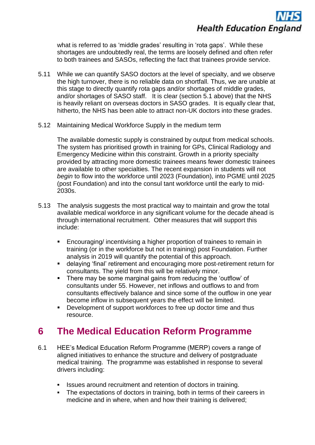what is referred to as 'middle grades' resulting in 'rota gaps'. While these shortages are undoubtedly real, the terms are loosely defined and often refer to both trainees and SASOs, reflecting the fact that trainees provide service.

- 5.11 While we can quantify SASO doctors at the level of specialty, and we observe the high turnover, there is no reliable data on shortfall. Thus, we are unable at this stage to directly quantify rota gaps and/or shortages of middle grades, and/or shortages of SASO staff. It is clear (section 5.1 above) that the NHS is heavily reliant on overseas doctors in SASO grades. It is equally clear that, hitherto, the NHS has been able to attract non-UK doctors into these grades.
- 5.12 Maintaining Medical Workforce Supply in the medium term

The available domestic supply is constrained by output from medical schools. The system has prioritised growth in training for GPs, Clinical Radiology and Emergency Medicine within this constraint. Growth in a priority specialty provided by attracting more domestic trainees means fewer domestic trainees are available to other specialties. The recent expansion in students will not *begin* to flow into the workforce until 2023 (Foundation), into PGME until 2025 (post Foundation) and into the consul tant workforce until the early to mid-2030s.

- 5.13 The analysis suggests the most practical way to maintain and grow the total available medical workforce in any significant volume for the decade ahead is through international recruitment. Other measures that will support this include:
	- Encouraging/ incentivising a higher proportion of trainees to remain in training (or in the workforce but not in training) post Foundation. Further analysis in 2019 will quantify the potential of this approach.
	- delaying 'final' retirement and encouraging more post-retirement return for consultants. The yield from this will be relatively minor.
	- There may be some marginal gains from reducing the 'outflow' of consultants under 55. However, net inflows and outflows to and from consultants effectively balance and since some of the outflow in one year become inflow in subsequent years the effect will be limited.
	- Development of support workforces to free up doctor time and thus resource.

### **6 The Medical Education Reform Programme**

- 6.1 HEE's Medical Education Reform Programme (MERP) covers a range of aligned initiatives to enhance the structure and delivery of postgraduate medical training. The programme was established in response to several drivers including:
	- Issues around recruitment and retention of doctors in training.
	- The expectations of doctors in training, both in terms of their careers in medicine and in where, when and how their training is delivered;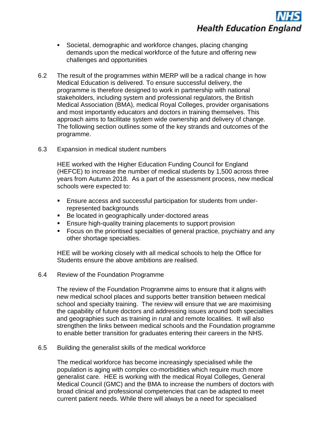- Societal, demographic and workforce changes, placing changing demands upon the medical workforce of the future and offering new challenges and opportunities
- 6.2 The result of the programmes within MERP will be a radical change in how Medical Education is delivered. To ensure successful delivery, the programme is therefore designed to work in partnership with national stakeholders, including system and professional regulators, the British Medical Association (BMA), medical Royal Colleges, provider organisations and most importantly educators and doctors in training themselves. This approach aims to facilitate system wide ownership and delivery of change. The following section outlines some of the key strands and outcomes of the programme.
- 6.3 Expansion in medical student numbers

HEE worked with the Higher Education Funding Council for England (HEFCE) to increase the number of medical students by 1,500 across three years from Autumn 2018. As a part of the assessment process, new medical schools were expected to:

- Ensure access and successful participation for students from underrepresented backgrounds
- Be located in geographically under-doctored areas
- Ensure high-quality training placements to support provision
- Focus on the prioritised specialties of general practice, psychiatry and any other shortage specialties.

HEE will be working closely with all medical schools to help the Office for Students ensure the above ambitions are realised.

6.4 Review of the Foundation Programme

The review of the Foundation Programme aims to ensure that it aligns with new medical school places and supports better transition between medical school and specialty training. The review will ensure that we are maximising the capability of future doctors and addressing issues around both specialties and geographies such as training in rural and remote localities. It will also strengthen the links between medical schools and the Foundation programme to enable better transition for graduates entering their careers in the NHS.

6.5 Building the generalist skills of the medical workforce

The medical workforce has become increasingly specialised while the population is aging with complex co-morbidities which require much more generalist care. HEE is working with the medical Royal Colleges, General Medical Council (GMC) and the BMA to increase the numbers of doctors with broad clinical and professional competencies that can be adapted to meet current patient needs. While there will always be a need for specialised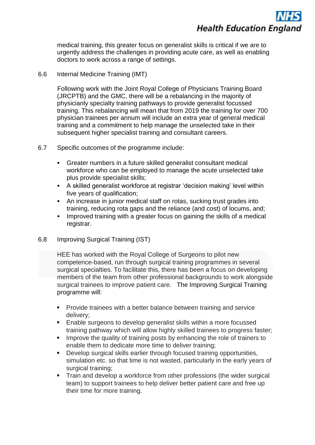

medical training, this greater focus on generalist skills is critical if we are to urgently address the challenges in providing acute care, as well as enabling doctors to work across a range of settings.

#### 6.6 Internal Medicine Training (IMT)

Following work with the Joint Royal College of Physicians Training Board (JRCPTB) and the GMC, there will be a rebalancing in the majority of physicianly specialty training pathways to provide generalist focussed training. This rebalancing will mean that from 2019 the training for over 700 physician trainees per annum will include an extra year of general medical training and a commitment to help manage the unselected take in their subsequent higher specialist training and consultant careers.

- 6.7 Specific outcomes of the programme include:
	- Greater numbers in a future skilled generalist consultant medical workforce who can be employed to manage the acute unselected take plus provide specialist skills;
	- A skilled generalist workforce at registrar 'decision making' level within five years of qualification;
	- An increase in junior medical staff on rotas, sucking trust grades into training, reducing rota gaps and the reliance (and cost) of locums, and;
	- **•** Improved training with a greater focus on gaining the skills of a medical registrar.
- 6.8 Improving Surgical Training (IST)

HEE has worked with the Royal College of Surgeons to pilot new competence-based, run through surgical training programmes in several surgical specialties. To facilitate this, there has been a focus on developing members of the team from other professional backgrounds to work alongside surgical trainees to improve patient care. The Improving Surgical Training programme will:

- **Provide trainees with a better balance between training and service** delivery;
- Enable surgeons to develop generalist skills within a more focussed training pathway which will allow highly skilled trainees to progress faster;
- **EXED** Improve the quality of training posts by enhancing the role of trainers to enable them to dedicate more time to deliver training;
- Develop surgical skills earlier through focused training opportunities, simulation etc. so that time is not wasted, particularly in the early years of surgical training:
- **•** Train and develop a workforce from other professions (the wider surgical team) to support trainees to help deliver better patient care and free up their time for more training.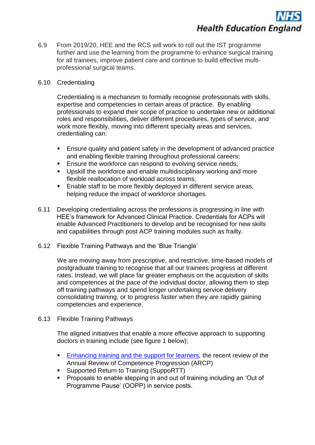6.9 From 2019/20, HEE and the RCS will work to roll out the IST programme further and use the learning from the programme to enhance surgical training for all trainees, improve patient care and continue to build effective multiprofessional surgical teams.

#### 6.10 Credentialing

Credentialing is a mechanism to formally recognise professionals with skills, expertise and competencies in certain areas of practice. By enabling professionals to expand their scope of practice to undertake new or additional roles and responsibilities, deliver different procedures, types of service, and work more flexibly, moving into different specialty areas and services, credentialing can:

- Ensure quality and patient safety in the development of advanced practice and enabling flexible training throughout professional careers;
- **Ensure the workforce can respond to evolving service needs;**
- Upskill the workforce and enable multidisciplinary working and more flexible reallocation of workload across teams;
- Enable staff to be more flexibly deployed in different service areas, helping reduce the impact of workforce shortages.
- 6.11 Developing credentialing across the professions is progressing in line with HEE's framework for Advanced Clinical Practice. Credentials for ACPs will enable Advanced Practitioners to develop and be recognised for new skills and capabilities through post ACP training modules such as frailty.
- 6.12 Flexible Training Pathways and the 'Blue Triangle'

We are moving away from prescriptive, and restrictive, time-based models of postgraduate training to recognise that all our trainees progress at different rates. Instead, we will place far greater emphasis on the acquisition of skills and competences at the pace of the individual doctor, allowing them to step off training pathways and spend longer undertaking service delivery consolidating training, or to progress faster when they are rapidly gaining competencies and experience.

6.13 Flexible Training Pathways

The aligned initiatives that enable a more effective approach to supporting doctors in training include (see figure 1 below);

- [Enhancing training and the support for](https://www.hee.nhs.uk/sites/default/files/documents/ARCP%20Review%20-%20Enhancing%20training%20and%20the%20support%20for%20learners.pdf) learners[,](https://www.hee.nhs.uk/sites/default/files/documents/ARCP%20Review%20-%20Enhancing%20training%20and%20the%20support%20for%20learners.pdf) the recent review of the Annual Review of Competence Progression (ARCP)
- Supported Return to Training (SuppoRTT)
- Proposals to enable stepping in and out of training including an 'Out of Programme Pause' (OOPP) in service posts.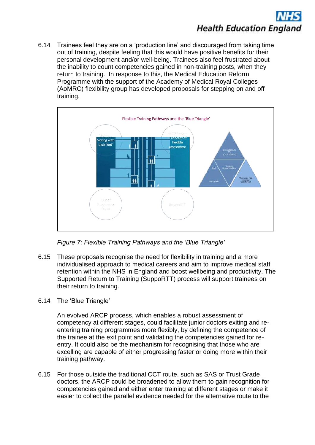

6.14 Trainees feel they are on a 'production line' and discouraged from taking time out of training, despite feeling that this would have positive benefits for their personal development and/or well-being. Trainees also feel frustrated about the inability to count competencies gained in non-training posts, when they return to training. In response to this, the Medical Education Reform Programme with the support of the Academy of Medical Royal Colleges (AoMRC) flexibility group has developed proposals for stepping on and off training.



*Figure 7: Flexible Training Pathways and the 'Blue Triangle'* 

- 6.15 These proposals recognise the need for flexibility in training and a more individualised approach to medical careers and aim to improve medical staff retention within the NHS in England and boost wellbeing and productivity. The Supported Return to Training (SuppoRTT) process will support trainees on their return to training.
- 6.14 The 'Blue Triangle'

An evolved ARCP process, which enables a robust assessment of competency at different stages, could facilitate junior doctors exiting and reentering training programmes more flexibly, by defining the competence of the trainee at the exit point and validating the competencies gained for reentry. It could also be the mechanism for recognising that those who are excelling are capable of either progressing faster or doing more within their training pathway.

6.15 For those outside the traditional CCT route, such as SAS or Trust Grade doctors, the ARCP could be broadened to allow them to gain recognition for competencies gained and either enter training at different stages or make it easier to collect the parallel evidence needed for the alternative route to the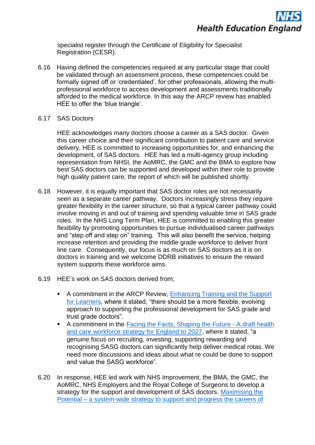

specialist register through the Certificate of Eligibility for Specialist Registration (CESR).

- 6.16 Having defined the competencies required at any particular stage that could be validated through an assessment process, these competencies could be formally signed off or 'credentialed', for other professionals, allowing the multiprofessional workforce to access development and assessments traditionally afforded to the medical workforce. In this way the ARCP review has enabled HEE to offer the 'blue triangle'.
- 6.17 SAS Doctors

HEE acknowledges many doctors choose a career as a SAS doctor. Given this career choice and their significant contribution to patient care and service delivery, HEE is committed to increasing opportunities for, and enhancing the development, of SAS doctors. HEE has led a multi-agency group including representation from NHSI, the AoMRC, the GMC and the BMA to explore how best SAS doctors can be supported and developed within their role to provide high quality patient care, the report of which will be published shortly.

- 6.18 However, it is equally important that SAS doctor roles are not necessarily seen as a separate career pathway. Doctors increasingly stress they require greater flexibility in the career structure, so that a typical career pathway could involve moving in and out of training and spending valuable time in SAS grade roles. In the NHS Long Term Plan, HEE is committed to enabling this greater flexibility by promoting opportunities to pursue individualised career pathways and "step off and step on" training. This will also benefit the service, helping increase retention and providing the middle grade workforce to deliver front line care. Consequently, our focus is as much on SAS doctors as it is on doctors in training and we welcome DDRB initiatives to ensure the reward system supports these workforce aims.
- 6.19 HEE's work on SAS doctors derived from;
	- A commitment in the ARCP Review, Enhancing Training and the Support [for Learners](https://www.hee.nhs.uk/sites/default/files/documents/ARCP%20Review%20-%20Enhancing%20training%20and%20the%20support%20for%20learners.pdf)*,* where it stated, "there should be a more flexible, evolving approach to supporting the professional development for SAS grade and trust grade doctors".
	- A commitment in the [Facing the Facts, Shaping the Future -](https://www.hee.nhs.uk/sites/default/files/documents/Facing%20the%20Facts%2C%20Shaping%20the%20Future%20%E2%80%93%20a%20draft%20health%20and%20care%20workforce%20strategy%20for%20England%20to%202027.pdf) A draft health [and care workforce strategy for England to 2027,](https://www.hee.nhs.uk/sites/default/files/documents/Facing%20the%20Facts%2C%20Shaping%20the%20Future%20%E2%80%93%20a%20draft%20health%20and%20care%20workforce%20strategy%20for%20England%20to%202027.pdf) where it stated, "a genuine focus on recruiting, investing, supporting rewarding and recognising SASG doctors can significantly help deliver medical rotas. We need more discussions and ideas about what re could be done to support and value the SASG workforce".
- 6.20 In response, HEE led work with NHS Improvement, the BMA, the GMC, the AoMRC, NHS Employers and the Royal College of Surgeons to develop a strategy for the support and development of SAS doctors. [Maximising the](https://healtheducationengland.sharepoint.com/Comms/Digital/Shared%20Documents/Forms/AllItems.aspx?id=%2FComms%2FDigital%2FShared%20Documents%2Fhee%2Enhs%2Euk%20documents%2FWebsite%20files%2F_HEE%20Board%2F2018-12-18%2F8%20-%20Maximising%20the%20Potential%20%E2%80%93%20A%20System%20Wide%20Strategy%20to%20Support%20and%20Progress%20the%20Careers%20of%20SAS%20Doctors%2Epdf&parent=%2FComms%2FDigital%2FShared%20Documents%2Fhee%2Enhs%2Euk%20documents%2FWebsite%20files%2F_HEE%20Board%2F2018-12-18&p=true&slrid=7239b89e-606b-0000-42d4-b02e6165a5df)  Potential – [a system-wide strategy to support and progress the careers of](https://healtheducationengland.sharepoint.com/Comms/Digital/Shared%20Documents/Forms/AllItems.aspx?id=%2FComms%2FDigital%2FShared%20Documents%2Fhee%2Enhs%2Euk%20documents%2FWebsite%20files%2F_HEE%20Board%2F2018-12-18%2F8%20-%20Maximising%20the%20Potential%20%E2%80%93%20A%20System%20Wide%20Strategy%20to%20Support%20and%20Progress%20the%20Careers%20of%20SAS%20Doctors%2Epdf&parent=%2FComms%2FDigital%2FShared%20Documents%2Fhee%2Enhs%2Euk%20documents%2FWebsite%20files%2F_HEE%20Board%2F2018-12-18&p=true&slrid=7239b89e-606b-0000-42d4-b02e6165a5df)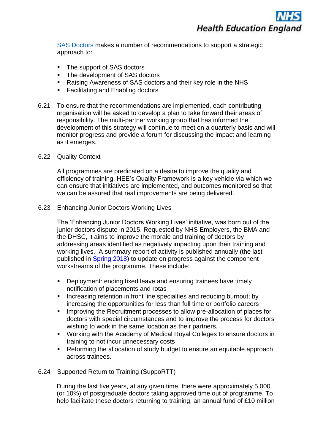

[SAS Doctors](https://healtheducationengland.sharepoint.com/Comms/Digital/Shared%20Documents/Forms/AllItems.aspx?id=%2FComms%2FDigital%2FShared%20Documents%2Fhee%2Enhs%2Euk%20documents%2FWebsite%20files%2F_HEE%20Board%2F2018-12-18%2F8%20-%20Maximising%20the%20Potential%20%E2%80%93%20A%20System%20Wide%20Strategy%20to%20Support%20and%20Progress%20the%20Careers%20of%20SAS%20Doctors%2Epdf&parent=%2FComms%2FDigital%2FShared%20Documents%2Fhee%2Enhs%2Euk%20documents%2FWebsite%20files%2F_HEE%20Board%2F2018-12-18&p=true&slrid=7239b89e-606b-0000-42d4-b02e6165a5df) makes a number of recommendations to support a strategic approach to:

- The support of SAS doctors
- The development of SAS doctors
- Raising Awareness of SAS doctors and their key role in the NHS
- Facilitating and Enabling doctors
- 6.21 To ensure that the recommendations are implemented, each contributing organisation will be asked to develop a plan to take forward their areas of responsibility. The multi-partner working group that has informed the development of this strategy will continue to meet on a quarterly basis and will monitor progress and provide a forum for discussing the impact and learning as it emerges.
- 6.22 Quality Context

All programmes are predicated on a desire to improve the quality and efficiency of training. HEE's Quality Framework is a key vehicle via which we can ensure that initiatives are implemented, and outcomes monitored so that we can be assured that real improvements are being delivered.

6.23 Enhancing Junior Doctors Working Lives

The 'Enhancing Junior Doctors Working Lives' initiative, was born out of the junior doctors dispute in 2015. Requested by NHS Employers, the BMA and the DHSC, it aims to improve the morale and training of doctors by addressing areas identified as negatively impacting upon their training and working lives. A summary report of activity is published annually (the last published in [Spring 2018\)](https://www.hee.nhs.uk/sites/default/files/documents/EJDWL%20-%202018%20progress%20report.pdf) to update on progress against the component workstreams of the programme. These include:

- Deployment: ending fixed leave and ensuring trainees have timely notification of placements and rotas
- Increasing retention in front line specialties and reducing burnout: by increasing the opportunities for less than full time or portfolio careers
- Improving the Recruitment processes to allow pre-allocation of places for doctors with special circumstances and to improve the process for doctors wishing to work in the same location as their partners.
- Working with the Academy of Medical Royal Colleges to ensure doctors in training to not incur unnecessary costs
- Reforming the allocation of study budget to ensure an equitable approach across trainees.

#### 6.24 Supported Return to Training (SuppoRTT)

During the last five years, at any given time, there were approximately 5,000 (or 10%) of postgraduate doctors taking approved time out of programme. To help facilitate these doctors returning to training, an annual fund of £10 million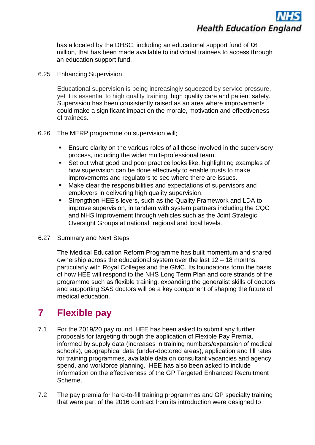has allocated by the DHSC, including an educational support fund of £6 million, that has been made available to individual trainees to access through an education support fund.

6.25 Enhancing Supervision

Educational supervision is being increasingly squeezed by service pressure, yet it is essential to high quality training, high quality care and patient safety. Supervision has been consistently raised as an area where improvements could make a significant impact on the morale, motivation and effectiveness of trainees.

- 6.26 The MERP programme on supervision will;
	- Ensure clarity on the various roles of all those involved in the supervisory process, including the wider multi-professional team.
	- Set out what good and poor practice looks like, highlighting examples of how supervision can be done effectively to enable trusts to make improvements and regulators to see where there are issues.
	- Make clear the responsibilities and expectations of supervisors and employers in delivering high quality supervision.
	- Strengthen HEE's levers, such as the Quality Framework and LDA to improve supervision, in tandem with system partners including the CQC and NHS Improvement through vehicles such as the Joint Strategic Oversight Groups at national, regional and local levels.
- 6.27 Summary and Next Steps

The Medical Education Reform Programme has built momentum and shared ownership across the educational system over the last 12 – 18 months, particularly with Royal Colleges and the GMC. Its foundations form the basis of how HEE will respond to the NHS Long Term Plan and core strands of the programme such as flexible training, expanding the generalist skills of doctors and supporting SAS doctors will be a key component of shaping the future of medical education.

## **7 Flexible pay**

- 7.1 For the 2019/20 pay round, HEE has been asked to submit any further proposals for targeting through the application of Flexible Pay Premia, informed by supply data (increases in training numbers/expansion of medical schools), geographical data (under-doctored areas), application and fill rates for training programmes, available data on consultant vacancies and agency spend, and workforce planning. HEE has also been asked to include information on the effectiveness of the GP Targeted Enhanced Recruitment Scheme.
- 7.2 The pay premia for hard-to-fill training programmes and GP specialty training that were part of the 2016 contract from its introduction were designed to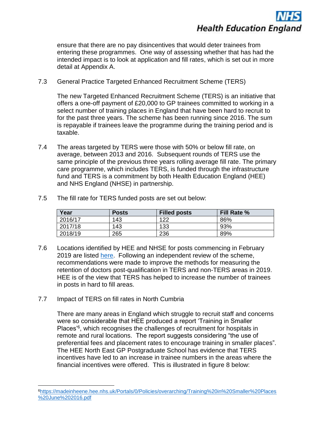

ensure that there are no pay disincentives that would deter trainees from entering these programmes. One way of assessing whether that has had the intended impact is to look at application and fill rates, which is set out in more detail at Appendix A.

7.3 General Practice Targeted Enhanced Recruitment Scheme (TERS)

The new Targeted Enhanced Recruitment Scheme (TERS) is an initiative that offers a one-off payment of £20,000 to GP trainees committed to working in a select number of training places in England that have been hard to recruit to for the past three years. The scheme has been running since 2016. The sum is repayable if trainees leave the programme during the training period and is taxable.

- 7.4 The areas targeted by TERS were those with 50% or below fill rate, on average, between 2013 and 2016. Subsequent rounds of TERS use the same principle of the previous three years rolling average fill rate. The primary care programme, which includes TERS, is funded through the infrastructure fund and TERS is a commitment by both Health Education England (HEE) and NHS England (NHSE) in partnership.
- 7.5 The fill rate for TERS funded posts are set out below:

| Year    | <b>Posts</b> | <b>Filled posts</b> | <b>Fill Rate %</b> |
|---------|--------------|---------------------|--------------------|
| 2016/17 | 143          | 122                 | 86%                |
| 2017/18 | 143          | 133                 | 93%                |
| 2018/19 | 265          | 236                 | 89%                |

- 7.6 Locations identified by HEE and NHSE for posts commencing in February 2019 are listed [here.](https://gprecruitment.hee.nhs.uk/Recruitment/TERS/England) Following an independent review of the scheme, recommendations were made to improve the methods for measuring the retention of doctors post-qualification in TERS and non-TERS areas in 2019. HEE is of the view that TERS has helped to increase the number of trainees in posts in hard to fill areas.
- 7.7 Impact of TERS on fill rates in North Cumbria

1

There are many areas in England which struggle to recruit staff and concerns were so considerable that HEE produced a report 'Training in Smaller Places<sup>'6</sup>, which recognises the challenges of recruitment for hospitals in remote and rural locations. The report suggests considering "the use of preferential fees and placement rates to encourage training in smaller places". The HEE North East GP Postgraduate School has evidence that TERS incentives have led to an increase in trainee numbers in the areas where the financial incentives were offered. This is illustrated in figure 8 below:

<sup>6</sup>[https://madeinheene.hee.nhs.uk/Portals/0/Policies/overarching/Training%20in%20Smaller%20Places](https://madeinheene.hee.nhs.uk/Portals/0/Policies/overarching/Training%20in%20Smaller%20Places%20June%202016.pdf) [%20June%202016.pdf](https://madeinheene.hee.nhs.uk/Portals/0/Policies/overarching/Training%20in%20Smaller%20Places%20June%202016.pdf)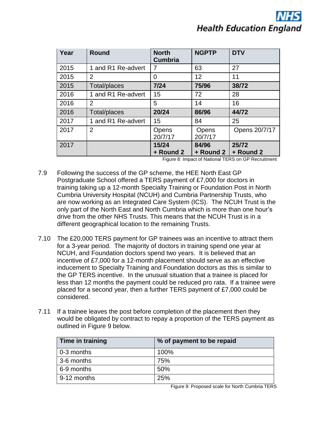| Year | <b>Round</b>       | <b>North</b><br><b>Cumbria</b> | <b>NGPTP</b>       | <b>DTV</b>         |
|------|--------------------|--------------------------------|--------------------|--------------------|
| 2015 | 1 and R1 Re-advert | 7                              | 63                 | 27                 |
| 2015 | $\overline{2}$     | 0                              | 12                 | 11                 |
| 2015 | Total/places       | $7/24$                         | 75/96              | 38/72              |
| 2016 | 1 and R1 Re-advert | 15                             | 72                 | 28                 |
| 2016 | 2                  | 5                              | 14                 | 16                 |
| 2016 | Total/places       | 20/24                          | 86/96              | 44/72              |
| 2017 | 1 and R1 Re-advert | 15                             | 84                 | 25                 |
| 2017 | $\overline{2}$     | Opens<br>20/7/17               | Opens<br>20/7/17   | Opens 20/7/17      |
| 2017 |                    | 15/24<br>+ Round 2             | 84/96<br>+ Round 2 | 25/72<br>+ Round 2 |

Figure 8: Impact of National TERS on GP Recruitment

- 7.9 Following the success of the GP scheme, the HEE North East GP Postgraduate School offered a TERS payment of £7,000 for doctors in training taking up a 12-month Specialty Training or Foundation Post in North Cumbria University Hospital (NCUH) and Cumbria Partnership Trusts, who are now working as an Integrated Care System (ICS). The NCUH Trust is the only part of the North East and North Cumbria which is more than one hour's drive from the other NHS Trusts. This means that the NCUH Trust is in a different geographical location to the remaining Trusts.
- 7.10 The £20,000 TERS payment for GP trainees was an incentive to attract them for a 3-year period. The majority of doctors in training spend one year at NCUH, and Foundation doctors spend two years. It is believed that an incentive of £7,000 for a 12-month placement should serve as an effective inducement to Specialty Training and Foundation doctors as this is similar to the GP TERS incentive. In the unusual situation that a trainee is placed for less than 12 months the payment could be reduced pro rata. If a trainee were placed for a second year, then a further TERS payment of £7,000 could be considered.
- 7.11 If a trainee leaves the post before completion of the placement then they would be obligated by contract to repay a proportion of the TERS payment as outlined in Figure 9 below.

| Time in training | % of payment to be repaid |
|------------------|---------------------------|
| 0-3 months       | 100%                      |
| 3-6 months       | 75%                       |
| 6-9 months       | 50%                       |
| 9-12 months      | 25%                       |

Figure 9: Proposed scale for North Cumbria TERS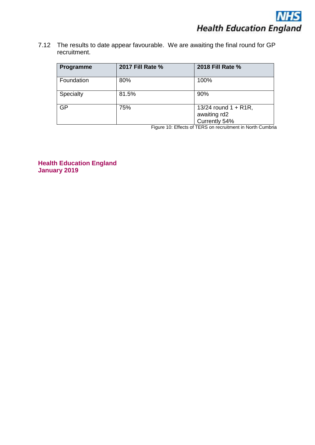7.12 The results to date appear favourable. We are awaiting the final round for GP recruitment.

| Programme  | <b>2017 Fill Rate %</b> | 2018 Fill Rate %                                         |
|------------|-------------------------|----------------------------------------------------------|
| Foundation | 80%                     | 100%                                                     |
| Specialty  | 81.5%                   | 90%                                                      |
| GP         | 75%                     | 13/24 round $1 + R1R$ ,<br>awaiting rd2<br>Currently 54% |

Figure 10: Effects of TERS on recruitment in North Cumbria

**Health Education England January 2019**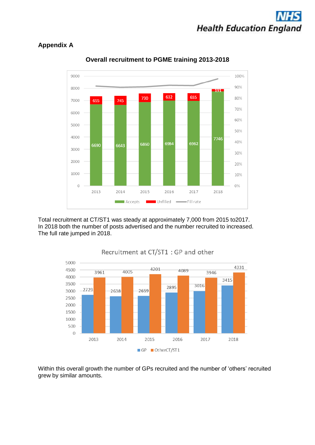

#### **Appendix A**



**Overall recruitment to PGME training 2013-2018**

Total recruitment at CT/ST1 was steady at approximately 7,000 from 2015 to2017. In 2018 both the number of posts advertised and the number recruited to increased. The full rate jumped in 2018.



### Recruitment at CT/ST1 : GP and other

Within this overall growth the number of GPs recruited and the number of 'others' recruited grew by similar amounts.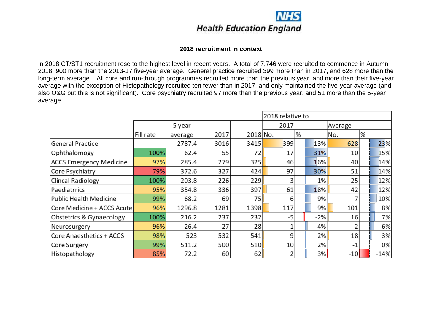

#### **2018 recruitment in context**

In 2018 CT/ST1 recruitment rose to the highest level in recent years. A total of 7,746 were recruited to commence in Autumn 2018, 900 more than the 2013-17 five-year average. General practice recruited 399 more than in 2017, and 628 more than the long-term average. All core and run-through programmes recruited more than the previous year, and more than their five-year average with the exception of Histopathology recruited ten fewer than in 2017, and only maintained the five-year average (and also O&G but this is not significant). Core psychiatry recruited 97 more than the previous year, and 51 more than the 5-year average.

|                                |           |         | 2018 relative to |          |      |   |       |         |   |        |  |
|--------------------------------|-----------|---------|------------------|----------|------|---|-------|---------|---|--------|--|
|                                |           | 5 year  |                  |          | 2017 |   |       | Average |   |        |  |
|                                | Fill rate | average | 2017             | 2018 No. |      | % |       | No.     | % |        |  |
| <b>General Practice</b>        |           | 2787.4  | 3016             | 3415     | 399  |   | 13%   | 628     |   | 23%    |  |
| Ophthalomogy                   | 100%      | 62.4    | 55               | 72       | 17   |   | 31%   | 10      |   | 15%    |  |
| <b>ACCS Emergency Medicine</b> | 97%       | 285.4   | 279              | 325      | 46   |   | 16%   | 40      |   | 14%    |  |
| Core Psychiatry                | 79%       | 372.6   | 327              | 424      | 97   |   | 30%   | 51      |   | 14%    |  |
| <b>Clincal Radiology</b>       | 100%      | 203.8   | 226              | 229      | 3    |   | $1\%$ | 25      |   | 12%    |  |
| Paediatrrics                   | 95%       | 354.8   | 336              | 397      | 61   |   | 18%   | 42      |   | 12%    |  |
| <b>Public Health Medicine</b>  | 99%       | 68.2    | 69               | 75       | 6    |   | 9%    |         |   | 10%    |  |
| Core Medicine + ACCS Acute     | 96%       | 1296.8  | 1281             | 1398     | 117  |   | 9%    | 101     |   | 8%     |  |
| Obstetrics & Gynaecology       | 100%      | 216.2   | 237              | 232      | -5   |   | $-2%$ | 16      |   | 7%     |  |
| Neurosurgery                   | 96%       | 26.4    | 27               | 28       |      |   | 4%    |         |   | 6%     |  |
| Core Anaesthetics + ACCS       | 98%       | 523     | 532              | 541      | 9    |   | 2%    | 18      |   | 3%     |  |
| Core Surgery                   | 99%       | 511.2   | 500              | 510      | 10   |   | 2%    | $-1$    |   | 0%     |  |
| Histopathology                 | 85%       | 72.2    | 60               | 62       |      |   | 3%    | $-10$   |   | $-14%$ |  |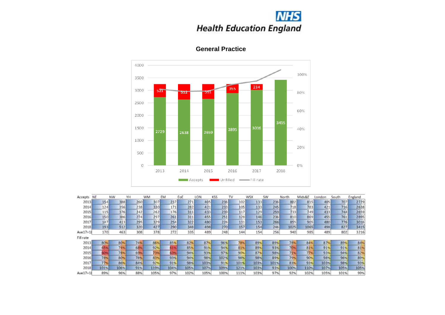# **NHS**<br>Health Education England



### **General Practice**

| Accepts   | <b>NE</b> | NW   | YH  | WM   | EM   | EoE  | LON  | KSS  | TV   | <b>WSX</b> | <b>SW</b> | North | Mids&E | London | South | England |
|-----------|-----------|------|-----|------|------|------|------|------|------|------------|-----------|-------|--------|--------|-------|---------|
| 2013      | 154       | 388  | 260 | 307  | 237  | 271  | 405  | 236  | 102  | 133        | 236       | 802   | 815    | 405    | 707   | 2729    |
| 2014      | 124       | 356  | 238 | 330  | 171  | 282  | 421  | 233  | 105  | 133        | 245       | 718   | 783    | 421    | 716   | 2638    |
| 2015      | 115       | 376  | 242 | 262  | 176  | 311  | 433  | 239  | 117  | 129        | 259       | 733   | 749    | 433    | 744   | 2659    |
| 2016      | 150       | 386  | 274 | 297  | 261  | 311  | 455  | 251  | 128  | 146        | 236       | 810   | 869    | 455    | 761   | 2895    |
| 2017      | 147       | 413  | 295 | 329  | 254  | 322  | 480  | 226  | 131  | 153        | 266       | 855   | 905    | 480    | 776   | 3016    |
| 2018      | 193.      | 512  | 320 | 427  | 290  | 348  | 498  | 270  | 157  | 154        | 246       | 1025  | 1065   | 498    | 827   | 3415    |
| Ave17+18  | 170       | 463  | 308 | 378  | 272  | 335  | 489  | 248  | 144  | 154        | 256       | 940   | 985    | 489    | 802   | 3216    |
| Fill rate |           |      |     |      |      |      |      |      |      |            |           |       |        |        |       |         |
| 2013      | 809       | 809  | 749 | 86%  | 85%  | 829  | 87%  | 961  | 789  | 89%        | 89%       | 789   | 84%    | 87%    | 89%   | 84%     |
| 2014      | 65%       | 74%  | 68  | 92%  | 61.  | 85%  | 91%  | 94%  | 81%  | 89%        | 93%       | 701   | 81%    | 91%    | 91%   | 81%     |
| 2015      | 609       | 78%  | 699 | 739  | 639  | 94%  | 93%  | 97%  | 90%  | 87%        | 98%       | 71%   | 77%    | 93%    | 94%   | 82%     |
| 2016      | 78%       | 80%  | 78% | 83%  | 93%  | 94%  | 98%  | 102% | 98%  | 98%        | 89%       | 79%   | 90%    | 98%    | 96%   | 89%     |
| 2017      | 77%       | 86%  | 84% | 92%  | 91%  | 98%  | 103% | 91%  | 101% | 103%       | 101%      | 839   | 93%    | 103%   | 98%   | 93%     |
| 2018      | 101%      | 106% | 91% | 119% | 104% | 105% | 107% | 109% | 121% | 103%       | 93%       | 100%  | 110%   | 107%   | 105%  | 105%    |
| Ave17+18  | 89%       | 96%  | 88% | 105% | 97%  | 102% | 105% | 100% | 111% | 103%       | 97%       | 92%   | 102%   | 105%   | 101%  | 99%     |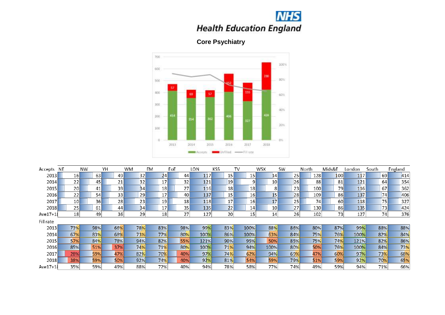

**Core Psychiatry**



| Accepts   | <b>NE</b>       | <b>NW</b> | YH  | <b>WM</b>       | <b>EM</b>       | EoE | LON        | <b>KSS</b>      | TV   | <b>WSX</b>      | <b>SW</b> | North | Mids&E | London     | South | England |
|-----------|-----------------|-----------|-----|-----------------|-----------------|-----|------------|-----------------|------|-----------------|-----------|-------|--------|------------|-------|---------|
| 2013      | <b>16</b>       | 63        | 49  | 32              | 24              | 44  | 117        | 15              | 15   | 14              | 25        | 128   | 100    | 117        | 69    | 414     |
| 2014      | 22              | 45        | 21  | 32              | 17 <sup>1</sup> | 32  | 121        | 19              | 9    | 10 <sup>1</sup> | 26        | 88    | 81     | 121        | 64    | 354     |
| 2015      | <b>20</b>       | 41        | 39  | 34              | 18 <sub>l</sub> | 27  | <b>116</b> | 18              | 18   | 8 <sub>l</sub>  | 23        | 100   | 79     | <b>116</b> | 67    | 362     |
| 2016      | 22              | 54        | 33  | 29              | 17              | 40  | 137        | 15 <sub>1</sub> | 16   | 15              | 28        | 109   | 86     | 137        | 74    | 406     |
| 2017      | 10 <sub>h</sub> | 36I       | 28  | 23 <sub>1</sub> | 19 <sub>l</sub> | 18  | 118        | 17              | 16   | 17              | 25        | 74    | 60     | <b>118</b> | 75    | 327     |
| 2018      | 25              | 61        | 44  | 34              | 17              | 35  | 135        | 22              | 14   | 10 <sub>l</sub> | 27        | 130   | 86     | 135        | 73    | 424     |
| Ave17+18  | 18 <sub>i</sub> | 49        | 36  | 29              | 18              | 27  | 127        | 20 <sub>1</sub> | 15   | 14              | 26        | 102   | 73     | 127        | 74    | 376     |
| Fill rate |                 |           |     |                 |                 |     |            |                 |      |                 |           |       |        |            |       |         |
| 2013      | 73%             | 98%       | 66% | <b>78%</b>      | 83%             | 98% | 99%        | 83%             | 100% | 88%             | 86%       | 80%   | 87%    | 99%        | 88%   | 88%     |
| 2014      | 67%             | 83%       | 68% | 73%             | 77%             | 80% | 100%       | 86%             | 100% | 63%             | 84%       | 75%   | 76%    | 100%       | 82%   | 84%     |
| 2015      | 57%             | 84%       | 78% | 94%             | 82%             | 55% | 121%       | 90%             | 95%  | <b>50%</b>      | 85%       | 75%   | 74%    | 121%       | 82%   | 86%     |
| 2016      | 85%             | 51%       | 37% | 74%             | 71%             | 80% | 100%       | 71%             | 94%  | 100%            | 80%       | 50%   | 76%    | 100%       | 84%   | 73%     |
| 2017      | 28%             | 59%       | 47% | 82%             | 70%             | 40% | 97%        | 74%             | 62%  | 94%             | 69%       | 47%   | 60%    | 97%        | 73%   | 68%     |
| 2018      | 38%             | 59%       | 50% | 92%             | 74%             | 40% | 92%        | 81%             | 54%  | 59%             | 79%       | 51%   | 59%    | 92%        | 70%   | 65%     |
| Ave17+18  | 35%             | 59%       | 49% | 88%             | 72%             | 40% | 94%        | 78%             | 58%  | 77%             | 74%       | 49%   | 59%    | 94%        | 71%   | 66%     |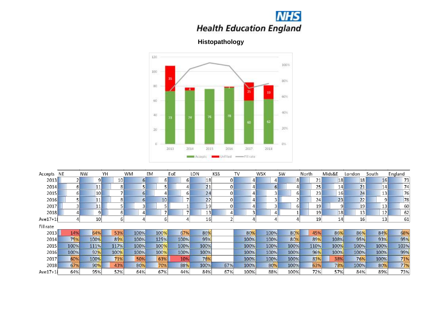

**Histopathology**



| Accepts    | NE   | <b>NW</b>       | YH   | WM   | EM   | EoE            | LON  | KSS | TV   | <b>WSX</b> | <b>SW</b> | North | Mids&E | London | South | England |
|------------|------|-----------------|------|------|------|----------------|------|-----|------|------------|-----------|-------|--------|--------|-------|---------|
| 2013       |      | 9               | 10   | 61   | 6    | 61             | 18   |     | 4    |            | 8         | 21    | 18     | 18     | 16    | 73      |
| 2014       | 6    | 11              | 8    |      |      | 4              | 21   |     |      |            | 4         | 25    | 14     | 21     | 14    | 74      |
| 2015       | 61   | 10 <sup>1</sup> |      | 61   |      | 6              | 24   |     | 4    |            | 6         | 23    | 16     | 24     | 13    | 76      |
| 2016       |      | 11              | 8    | ы    | 10   | $\overline{7}$ | 22   |     | 4    |            | ÷,        | 24    | 23     | 22     | 9     | 78      |
| 2017       |      | 11              |      |      |      |                | 19   |     |      |            | 6         | 19    | 9      | 19     | 13    | 60      |
| 2018       |      | 9               | ь    |      |      | $\overline{7}$ | 13   |     |      |            |           | 19    | 18     | 13     | 12    | 62      |
| $Ave17+18$ |      | 10              | b    |      | 6    | 4              | 16   |     |      |            |           | 19    | 14     | 16     | 13    | 61      |
| Fill rate  |      |                 |      |      |      |                |      |     |      |            |           |       |        |        |       |         |
| 2013       | 14%  | 64%             | 53%  | 100% | 100% | 67%            | 86%  |     | 80%  | 100%       | 80%       | 45%   | 86%    | 86%    | 84%   | 68%     |
| 2014       | 75%  | 100%            | 89%  | 100% | 125% | 100%           | 95%  |     | 100% | 100%       | 80%       | 89%   | 108%   | 95%    | 93%   | 95%     |
| 2015       | 100% | 111%            | 117% | 100% | 100% | 100%           | 100% |     | 100% | 100%       | 100%      | 110%  | 100%   | 100%   | 100%  | 103%    |
| 2016       | 100% | 92%             | 100% | 100% | 100% | 100%           | 100% |     | 100% | 100%       | 100%      | 96%   | 100%   | 100%   | 100%  | 99%     |
| 2017       | 60%  | 100%            | 71%  | 50%  | 63%  | 10%            | 76%  |     | 100% | 100%       | 100%      | 83%   | 38%    | 76%    | 100%  | 71%     |
| 2018       | 67%  | 90%             | 43%  | 80%  | 70%  | 88%            | 100% | 67% | 100% | 80%        | 100%      | 63%   | 78%    | 100%   | 80%   | 77%     |
| $Ave17+18$ | 64%  | 95%             | 52%  | 64%  | 67%  | 44%            | 84%  | 67% | 100% | 88%        | 100%      | 72%   | 57%    | 84%    | 89%   | 73%     |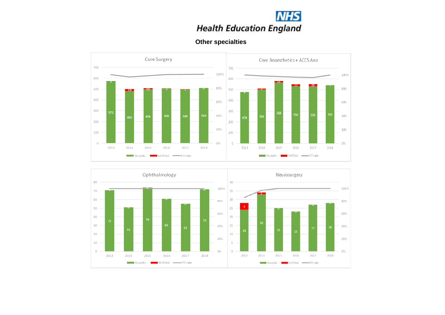

### **Other specialties**



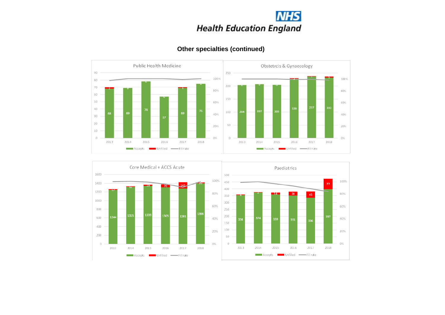



### **Other specialties (continued)**